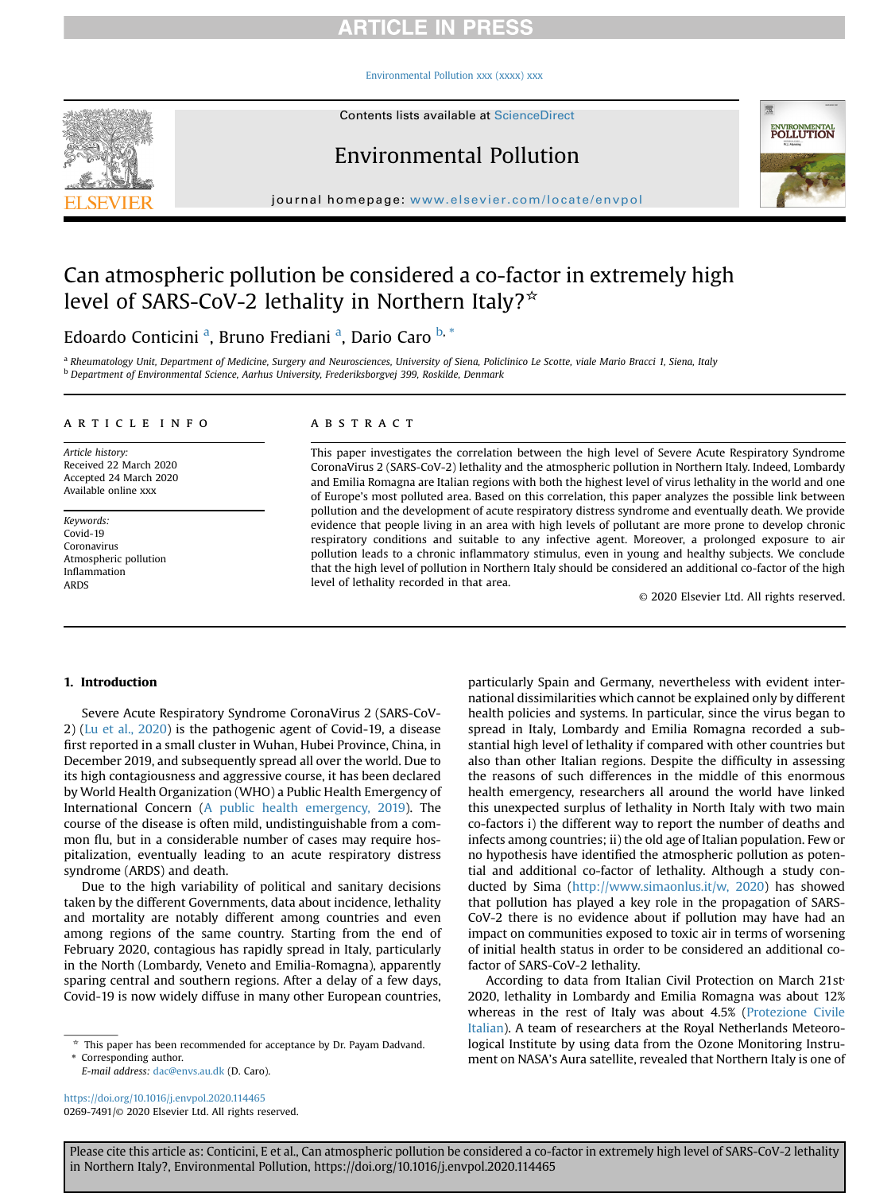## **RTICLE IN PRESS**

### [Environmental Pollution xxx \(xxxx\) xxx](https://doi.org/10.1016/j.envpol.2020.114465)



Contents lists available at ScienceDirect

## Environmental Pollution



journal homepage: [www.elsevier.com/locate/envpol](http://www.elsevier.com/locate/envpol)

# Can atmospheric pollution be considered a co-factor in extremely high level of SARS-CoV-2 lethality in Northern Italy? $\star$

## Edo[a](#page-0-0)rdo Conticini <sup>a</sup>, Bruno Frediani <sup>a</sup>, Dario Caro <sup>[b,](#page-0-1) [\\*](#page-0-2)</sup>

<span id="page-0-1"></span><span id="page-0-0"></span>a Rheumatology Unit, Department of Medicine, Surgery and Neurosciences, University of Siena, Policlinico Le Scotte, viale Mario Bracci 1, Siena, Italy <sup>b</sup> Department of Environmental Science, Aarhus University, Frederiksborgvej 399, Roskilde, Denmark

#### article info

Article history: Received 22 March 2020 Accepted 24 March 2020 Available online xxx

Keywords: Covid-19 Coronavirus Atmospheric pollution Inflammation ARDS

## ABSTRACT

This paper investigates the correlation between the high level of Severe Acute Respiratory Syndrome CoronaVirus 2 (SARS-CoV-2) lethality and the atmospheric pollution in Northern Italy. Indeed, Lombardy and Emilia Romagna are Italian regions with both the highest level of virus lethality in the world and one of Europe's most polluted area. Based on this correlation, this paper analyzes the possible link between pollution and the development of acute respiratory distress syndrome and eventually death. We provide evidence that people living in an area with high levels of pollutant are more prone to develop chronic respiratory conditions and suitable to any infective agent. Moreover, a prolonged exposure to air pollution leads to a chronic inflammatory stimulus, even in young and healthy subjects. We conclude that the high level of pollution in Northern Italy should be considered an additional co-factor of the high level of lethality recorded in that area.

© 2020 Elsevier Ltd. All rights reserved.

### 1. Introduction

Severe Acute Respiratory Syndrome CoronaVirus 2 (SARS-CoV-2) [\(Lu et al., 2020](#page-2-0)) is the pathogenic agent of Covid-19, a disease first reported in a small cluster in Wuhan, Hubei Province, China, in December 2019, and subsequently spread all over the world. Due to its high contagiousness and aggressive course, it has been declared by World Health Organization (WHO) a Public Health Emergency of International Concern ([A public health emergency, 2019\)](#page-2-1). The course of the disease is often mild, undistinguishable from a common flu, but in a considerable number of cases may require hospitalization, eventually leading to an acute respiratory distress syndrome (ARDS) and death.

Due to the high variability of political and sanitary decisions taken by the different Governments, data about incidence, lethality and mortality are notably different among countries and even among regions of the same country. Starting from the end of February 2020, contagious has rapidly spread in Italy, particularly in the North (Lombardy, Veneto and Emilia-Romagna), apparently sparing central and southern regions. After a delay of a few days, Covid-19 is now widely diffuse in many other European countries,

<span id="page-0-2"></span>Corresponding author.

E-mail address: [dac@envs.au.dk](mailto:dac@envs.au.dk) (D. Caro).

<https://doi.org/10.1016/j.envpol.2020.114465> 0269-7491/© 2020 Elsevier Ltd. All rights reserved. particularly Spain and Germany, nevertheless with evident international dissimilarities which cannot be explained only by different health policies and systems. In particular, since the virus began to spread in Italy, Lombardy and Emilia Romagna recorded a substantial high level of lethality if compared with other countries but also than other Italian regions. Despite the difficulty in assessing the reasons of such differences in the middle of this enormous health emergency, researchers all around the world have linked this unexpected surplus of lethality in North Italy with two main co-factors i) the different way to report the number of deaths and infects among countries; ii) the old age of Italian population. Few or no hypothesis have identified the atmospheric pollution as potential and additional co-factor of lethality. Although a study conducted by Sima ([http://www.simaonlus.it/w, 2020\)](#page-2-2) has showed that pollution has played a key role in the propagation of SARS-CoV-2 there is no evidence about if pollution may have had an impact on communities exposed to toxic air in terms of worsening of initial health status in order to be considered an additional cofactor of SARS-CoV-2 lethality.

According to data from Italian Civil Protection on March 21st<sup>,</sup> 2020, lethality in Lombardy and Emilia Romagna was about 12% whereas in the rest of Italy was about 4.5% [\(Protezione Civile](#page-2-3) [Italian](#page-2-3)). A team of researchers at the Royal Netherlands Meteorological Institute by using data from the Ozone Monitoring Instrument on NASA's Aura satellite, revealed that Northern Italy is one of

Please cite this article as: Conticini, E et al., Can atmospheric pollution be considered a co-factor in extremely high level of SARS-CoV-2 lethality in Northern Italy?, Environmental Pollution, https://doi.org/10.1016/j.envpol.2020.114465

This paper has been recommended for acceptance by Dr. Payam Dadvand.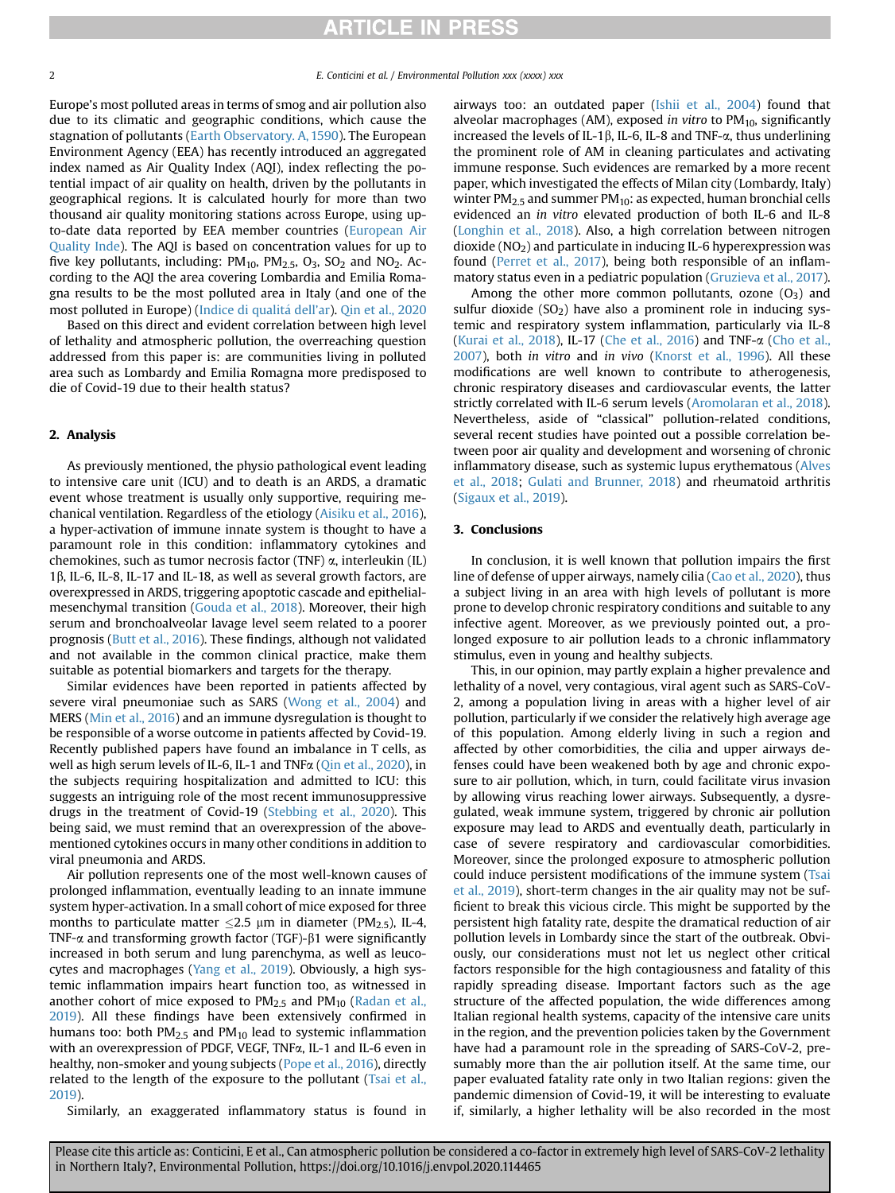Europe's most polluted areas in terms of smog and air pollution also due to its climatic and geographic conditions, which cause the stagnation of pollutants ([Earth Observatory. A, 1590](#page-2-4)). The European Environment Agency (EEA) has recently introduced an aggregated index named as Air Quality Index (AQI), index reflecting the potential impact of air quality on health, driven by the pollutants in geographical regions. It is calculated hourly for more than two thousand air quality monitoring stations across Europe, using upto-date data reported by EEA member countries [\(European Air](#page-2-5) [Quality Inde\)](#page-2-5). The AQI is based on concentration values for up to five key pollutants, including:  $PM_{10}$ ,  $PM_{2.5}$ ,  $O_3$ ,  $SO_2$  and  $NO_2$ . According to the AQI the area covering Lombardia and Emilia Romagna results to be the most polluted area in Italy (and one of the most polluted in Europe) ([Indice di qualit](#page-2-6) a [dell](#page-2-6)'ar). [Qin et al., 2020](#page-2-7)

Based on this direct and evident correlation between high level of lethality and atmospheric pollution, the overreaching question addressed from this paper is: are communities living in polluted area such as Lombardy and Emilia Romagna more predisposed to die of Covid-19 due to their health status?

## 2. Analysis

As previously mentioned, the physio pathological event leading to intensive care unit (ICU) and to death is an ARDS, a dramatic event whose treatment is usually only supportive, requiring mechanical ventilation. Regardless of the etiology [\(Aisiku et al., 2016\)](#page-2-8), a hyper-activation of immune innate system is thought to have a paramount role in this condition: inflammatory cytokines and chemokines, such as tumor necrosis factor (TNF)  $\alpha$ , interleukin (IL)  $1\beta$ , IL-6, IL-8, IL-17 and IL-18, as well as several growth factors, are overexpressed in ARDS, triggering apoptotic cascade and epithelialmesenchymal transition ([Gouda et al., 2018](#page-2-9)). Moreover, their high serum and bronchoalveolar lavage level seem related to a poorer prognosis ([Butt et al., 2016\)](#page-2-10). These findings, although not validated and not available in the common clinical practice, make them suitable as potential biomarkers and targets for the therapy.

Similar evidences have been reported in patients affected by severe viral pneumoniae such as SARS ([Wong et al., 2004\)](#page-2-11) and MERS ([Min et al., 2016\)](#page-2-12) and an immune dysregulation is thought to be responsible of a worse outcome in patients affected by Covid-19. Recently published papers have found an imbalance in T cells, as well as high serum levels of IL-6, IL-1 and TNFa ([Qin et al., 2020\)](#page-2-7), in the subjects requiring hospitalization and admitted to ICU: this suggests an intriguing role of the most recent immunosuppressive drugs in the treatment of Covid-19 ([Stebbing et al., 2020](#page-2-13)). This being said, we must remind that an overexpression of the abovementioned cytokines occurs in many other conditions in addition to viral pneumonia and ARDS.

Air pollution represents one of the most well-known causes of prolonged inflammation, eventually leading to an innate immune system hyper-activation. In a small cohort of mice exposed for three months to particulate matter  $\leq$ 2.5 µm in diameter (PM<sub>2.5</sub>), IL-4, TNF- $\alpha$  and transforming growth factor (TGF)- $\beta$ 1 were significantly increased in both serum and lung parenchyma, as well as leucocytes and macrophages [\(Yang et al., 2019\)](#page-2-14). Obviously, a high systemic inflammation impairs heart function too, as witnessed in another cohort of mice exposed to  $PM_{2.5}$  and  $PM_{10}$  [\(Radan et al.,](#page-2-15) [2019](#page-2-15)). All these findings have been extensively confirmed in humans too: both  $PM<sub>2.5</sub>$  and  $PM<sub>10</sub>$  lead to systemic inflammation with an overexpression of PDGF, VEGF, TNFa, IL-1 and IL-6 even in healthy, non-smoker and young subjects ([Pope et al., 2016\)](#page-2-16), directly related to the length of the exposure to the pollutant [\(Tsai et al.,](#page-2-17) [2019](#page-2-17)).

Similarly, an exaggerated inflammatory status is found in

airways too: an outdated paper ([Ishii et al., 2004](#page-2-18)) found that alveolar macrophages (AM), exposed in vitro to  $PM_{10}$ , significantly increased the levels of IL-1 $\beta$ , IL-6, IL-8 and TNF- $\alpha$ , thus underlining the prominent role of AM in cleaning particulates and activating immune response. Such evidences are remarked by a more recent paper, which investigated the effects of Milan city (Lombardy, Italy) winter PM<sub>2.5</sub> and summer PM<sub>10</sub>: as expected, human bronchial cells evidenced an in vitro elevated production of both IL-6 and IL-8 ([Longhin et al., 2018\)](#page-2-19). Also, a high correlation between nitrogen dioxide  $(NO<sub>2</sub>)$  and particulate in inducing IL-6 hyperexpression was found ([Perret et al., 2017](#page-2-20)), being both responsible of an inflammatory status even in a pediatric population ([Gruzieva et al., 2017\)](#page-2-21).

Among the other more common pollutants, ozone  $(O_3)$  and sulfur dioxide  $(SO<sub>2</sub>)$  have also a prominent role in inducing systemic and respiratory system inflammation, particularly via IL-8 ([Kurai et al., 2018\)](#page-2-22), IL-17 ([Che et al., 2016](#page-2-23)) and TNF-a [\(Cho et al.,](#page-2-24) [2007\)](#page-2-24), both in vitro and in vivo ([Knorst et al., 1996\)](#page-2-25). All these modifications are well known to contribute to atherogenesis, chronic respiratory diseases and cardiovascular events, the latter strictly correlated with IL-6 serum levels [\(Aromolaran et al., 2018\)](#page-2-26). Nevertheless, aside of "classical" pollution-related conditions, several recent studies have pointed out a possible correlation between poor air quality and development and worsening of chronic inflammatory disease, such as systemic lupus erythematous ([Alves](#page-2-27) [et al., 2018](#page-2-27); [Gulati and Brunner, 2018\)](#page-2-28) and rheumatoid arthritis ([Sigaux et al., 2019\)](#page-2-29).

## 3. Conclusions

In conclusion, it is well known that pollution impairs the first line of defense of upper airways, namely cilia ([Cao et al., 2020\)](#page-2-30), thus a subject living in an area with high levels of pollutant is more prone to develop chronic respiratory conditions and suitable to any infective agent. Moreover, as we previously pointed out, a prolonged exposure to air pollution leads to a chronic inflammatory stimulus, even in young and healthy subjects.

This, in our opinion, may partly explain a higher prevalence and lethality of a novel, very contagious, viral agent such as SARS-CoV-2, among a population living in areas with a higher level of air pollution, particularly if we consider the relatively high average age of this population. Among elderly living in such a region and affected by other comorbidities, the cilia and upper airways defenses could have been weakened both by age and chronic exposure to air pollution, which, in turn, could facilitate virus invasion by allowing virus reaching lower airways. Subsequently, a dysregulated, weak immune system, triggered by chronic air pollution exposure may lead to ARDS and eventually death, particularly in case of severe respiratory and cardiovascular comorbidities. Moreover, since the prolonged exposure to atmospheric pollution could induce persistent modifications of the immune system [\(Tsai](#page-2-17) [et al., 2019\)](#page-2-17), short-term changes in the air quality may not be sufficient to break this vicious circle. This might be supported by the persistent high fatality rate, despite the dramatical reduction of air pollution levels in Lombardy since the start of the outbreak. Obviously, our considerations must not let us neglect other critical factors responsible for the high contagiousness and fatality of this rapidly spreading disease. Important factors such as the age structure of the affected population, the wide differences among Italian regional health systems, capacity of the intensive care units in the region, and the prevention policies taken by the Government have had a paramount role in the spreading of SARS-CoV-2, presumably more than the air pollution itself. At the same time, our paper evaluated fatality rate only in two Italian regions: given the pandemic dimension of Covid-19, it will be interesting to evaluate if, similarly, a higher lethality will be also recorded in the most